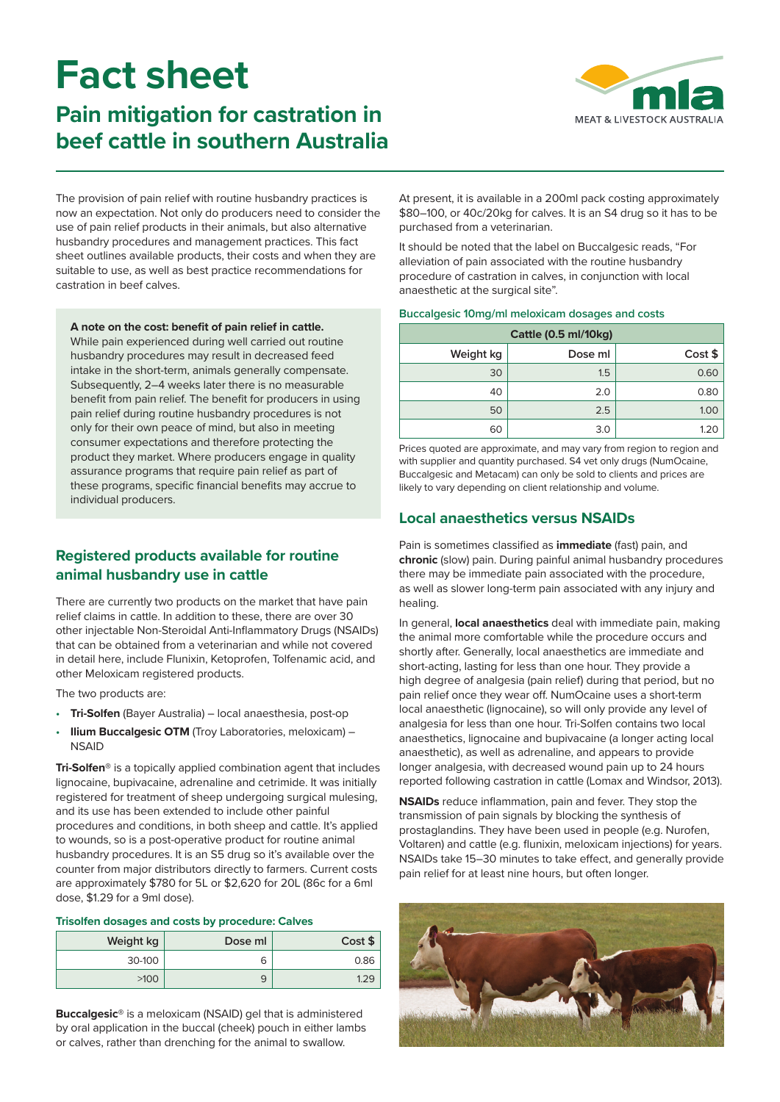# **Fact sheet**

## **Pain mitigation for castration in beef cattle in southern Australia**



The provision of pain relief with routine husbandry practices is now an expectation. Not only do producers need to consider the use of pain relief products in their animals, but also alternative husbandry procedures and management practices. This fact sheet outlines available products, their costs and when they are suitable to use, as well as best practice recommendations for castration in beef calves.

**A note on the cost: benefit of pain relief in cattle.**

While pain experienced during well carried out routine husbandry procedures may result in decreased feed intake in the short-term, animals generally compensate. Subsequently, 2–4 weeks later there is no measurable benefit from pain relief. The benefit for producers in using pain relief during routine husbandry procedures is not only for their own peace of mind, but also in meeting consumer expectations and therefore protecting the product they market. Where producers engage in quality assurance programs that require pain relief as part of these programs, specific financial benefits may accrue to individual producers.

## **Registered products available for routine animal husbandry use in cattle**

There are currently two products on the market that have pain relief claims in cattle. In addition to these, there are over 30 other injectable Non-Steroidal Anti-Inflammatory Drugs (NSAIDs) that can be obtained from a veterinarian and while not covered in detail here, include Flunixin, Ketoprofen, Tolfenamic acid, and other Meloxicam registered products.

The two products are:

- **Tri-Solfen** (Bayer Australia) local anaesthesia, post-op
- **Ilium Buccalgesic OTM** (Troy Laboratories, meloxicam) -**NSAID**

**Tri-Solfen®** is a topically applied combination agent that includes lignocaine, bupivacaine, adrenaline and cetrimide. It was initially registered for treatment of sheep undergoing surgical mulesing, and its use has been extended to include other painful procedures and conditions, in both sheep and cattle. It's applied to wounds, so is a post-operative product for routine animal husbandry procedures. It is an S5 drug so it's available over the counter from major distributors directly to farmers. Current costs are approximately \$780 for 5L or \$2,620 for 20L (86c for a 6ml dose, \$1.29 for a 9ml dose).

#### **Trisolfen dosages and costs by procedure: Calves**

| Weight kg | Dose ml | Cost \$ |
|-----------|---------|---------|
| 30-100    | 6       | 0.86    |
| >100      | 9       |         |

**Buccalgesic®** is a meloxicam (NSAID) gel that is administered by oral application in the buccal (cheek) pouch in either lambs or calves, rather than drenching for the animal to swallow.

At present, it is available in a 200ml pack costing approximately \$80–100, or 40c/20kg for calves. It is an S4 drug so it has to be purchased from a veterinarian.

It should be noted that the label on Buccalgesic reads, "For alleviation of pain associated with the routine husbandry procedure of castration in calves, in conjunction with local anaesthetic at the surgical site".

#### **Buccalgesic 10mg/ml meloxicam dosages and costs**

| <b>Cattle (0.5 ml/10kg)</b> |         |         |  |
|-----------------------------|---------|---------|--|
| Weight kg                   | Dose ml | Cost \$ |  |
| 30                          | 1.5     | 0.60    |  |
| 40                          | 2.0     | 0.80    |  |
| 50                          | 2.5     | 1.00    |  |
| 60                          | 3.0     |         |  |

Prices quoted are approximate, and may vary from region to region and with supplier and quantity purchased. S4 vet only drugs (NumOcaine, Buccalgesic and Metacam) can only be sold to clients and prices are likely to vary depending on client relationship and volume.

## **Local anaesthetics versus NSAIDs**

Pain is sometimes classified as **immediate** (fast) pain, and **chronic** (slow) pain. During painful animal husbandry procedures there may be immediate pain associated with the procedure, as well as slower long-term pain associated with any injury and healing.

In general, **local anaesthetics** deal with immediate pain, making the animal more comfortable while the procedure occurs and shortly after. Generally, local anaesthetics are immediate and short-acting, lasting for less than one hour. They provide a high degree of analgesia (pain relief) during that period, but no pain relief once they wear off. NumOcaine uses a short-term local anaesthetic (lignocaine), so will only provide any level of analgesia for less than one hour. Tri-Solfen contains two local anaesthetics, lignocaine and bupivacaine (a longer acting local anaesthetic), as well as adrenaline, and appears to provide longer analgesia, with decreased wound pain up to 24 hours reported following castration in cattle (Lomax and Windsor, 2013).

**NSAIDs** reduce inflammation, pain and fever. They stop the transmission of pain signals by blocking the synthesis of prostaglandins. They have been used in people (e.g. Nurofen, Voltaren) and cattle (e.g. flunixin, meloxicam injections) for years. NSAIDs take 15–30 minutes to take effect, and generally provide pain relief for at least nine hours, but often longer.